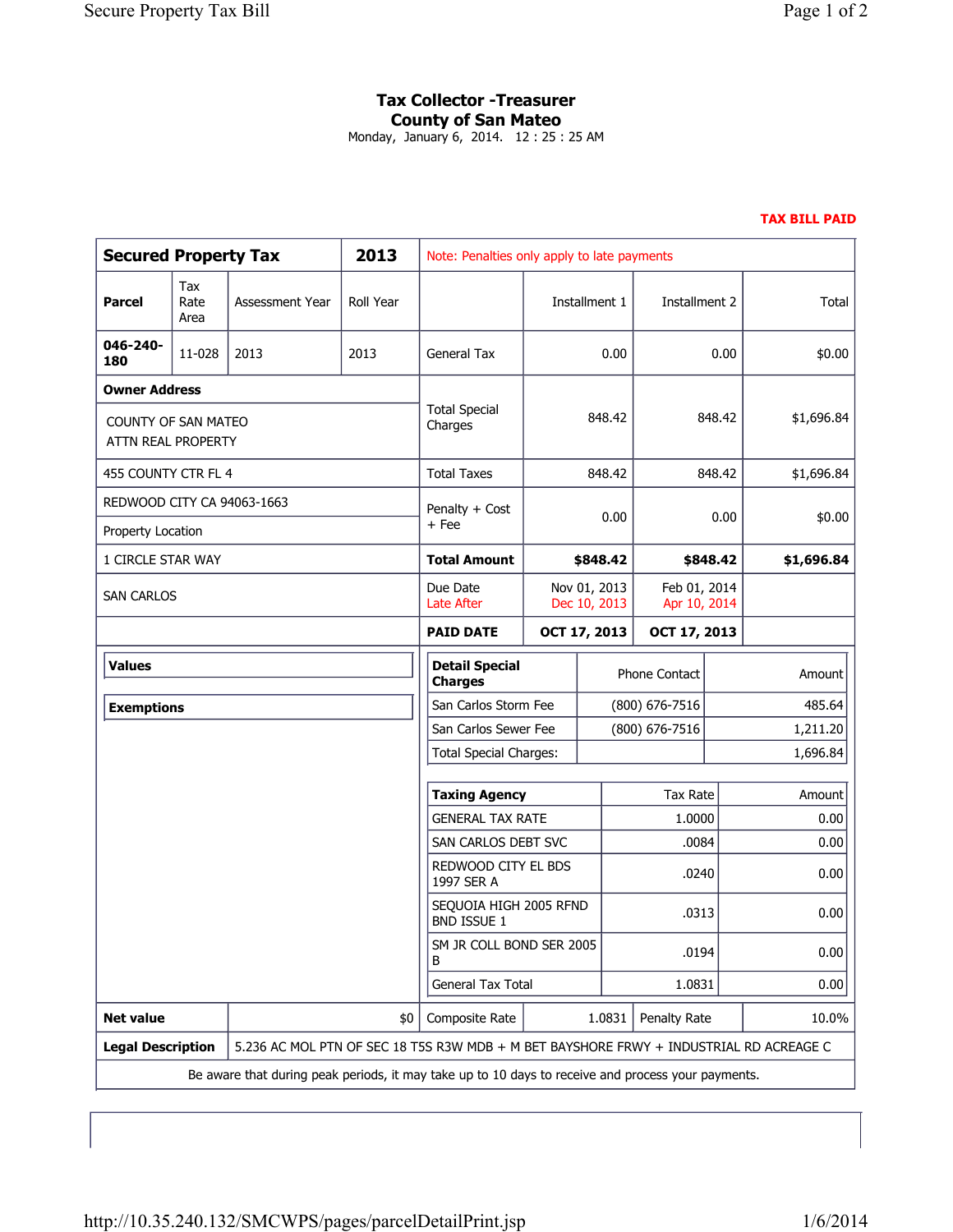## **Tax Collector -Treasurer County of San Mateo**

Monday, January 6, 2014. 12 : 25 : 25 AM

## **TAX BILL PAID**

| <b>Secured Property Tax</b>                                                                        |                     |                                                                                        | 2013                                         | Note: Penalties only apply to late payments |                      |                              |                              |            |            |
|----------------------------------------------------------------------------------------------------|---------------------|----------------------------------------------------------------------------------------|----------------------------------------------|---------------------------------------------|----------------------|------------------------------|------------------------------|------------|------------|
| Parcel                                                                                             | Tax<br>Rate<br>Area | Assessment Year                                                                        | Roll Year                                    |                                             | Installment 1        |                              | Installment 2                |            | Total      |
| 046-240-<br>180                                                                                    | 11-028              | 2013                                                                                   | 2013                                         | <b>General Tax</b>                          | 0.00                 |                              | 0.00                         |            | \$0.00     |
| <b>Owner Address</b>                                                                               |                     |                                                                                        |                                              |                                             |                      |                              |                              |            |            |
| <b>COUNTY OF SAN MATEO</b><br>ATTN REAL PROPERTY                                                   |                     |                                                                                        |                                              | <b>Total Special</b><br>Charges             |                      | 848.42                       | 848.42                       |            | \$1,696.84 |
| 455 COUNTY CTR FL 4                                                                                |                     |                                                                                        | <b>Total Taxes</b>                           | 848.42                                      |                      | 848.42                       |                              | \$1,696.84 |            |
| REDWOOD CITY CA 94063-1663                                                                         |                     |                                                                                        |                                              | Penalty + Cost<br>+ Fee                     | 0.00                 |                              | 0.00                         |            | \$0.00     |
| Property Location                                                                                  |                     |                                                                                        |                                              |                                             |                      |                              |                              |            |            |
| 1 CIRCLE STAR WAY                                                                                  |                     |                                                                                        |                                              | Total Amount                                |                      | \$848.42                     | \$848.42                     |            | \$1,696.84 |
| <b>SAN CARLOS</b>                                                                                  |                     |                                                                                        |                                              | Due Date<br>Late After                      |                      | Nov 01, 2013<br>Dec 10, 2013 | Feb 01, 2014<br>Apr 10, 2014 |            |            |
|                                                                                                    |                     |                                                                                        | <b>PAID DATE</b>                             |                                             | OCT 17, 2013         | OCT 17, 2013                 |                              |            |            |
| <b>Values</b>                                                                                      |                     |                                                                                        |                                              | <b>Detail Special</b><br><b>Charges</b>     |                      |                              | Phone Contact                |            | Amount     |
| <b>Exemptions</b>                                                                                  |                     |                                                                                        |                                              | San Carlos Storm Fee                        |                      | $(800)$ 676-7516             |                              | 485.64     |            |
|                                                                                                    |                     |                                                                                        |                                              | San Carlos Sewer Fee                        |                      |                              | (800) 676-7516               |            | 1,211.20   |
|                                                                                                    |                     |                                                                                        |                                              | <b>Total Special Charges:</b>               |                      |                              |                              |            | 1,696.84   |
|                                                                                                    |                     |                                                                                        |                                              |                                             | <b>Taxing Agency</b> |                              | Tax Rate                     |            | Amount     |
|                                                                                                    |                     |                                                                                        | <b>GENERAL TAX RATE</b>                      |                                             |                      | 1.0000                       |                              | 0.00       |            |
|                                                                                                    |                     |                                                                                        | SAN CARLOS DEBT SVC                          |                                             |                      | .0084                        |                              | 0.00       |            |
|                                                                                                    |                     |                                                                                        |                                              | REDWOOD CITY EL BDS<br>1997 SER A           |                      |                              | .0240                        |            | 0.00       |
|                                                                                                    |                     |                                                                                        | SEQUOIA HIGH 2005 RFND<br><b>BND ISSUE 1</b> |                                             |                      | .0313                        |                              | 0.00       |            |
|                                                                                                    |                     |                                                                                        |                                              | SM JR COLL BOND SER 2005<br>B               |                      |                              | .0194                        |            | 0.00       |
|                                                                                                    |                     |                                                                                        | General Tax Total                            |                                             |                      | 1.0831                       |                              | 0.00       |            |
| <b>Net value</b>                                                                                   |                     |                                                                                        | \$0                                          | Composite Rate                              | 1.0831               |                              | Penalty Rate                 |            | 10.0%      |
| <b>Legal Description</b>                                                                           |                     | 5.236 AC MOL PTN OF SEC 18 T5S R3W MDB + M BET BAYSHORE FRWY + INDUSTRIAL RD ACREAGE C |                                              |                                             |                      |                              |                              |            |            |
| Be aware that during peak periods, it may take up to 10 days to receive and process your payments. |                     |                                                                                        |                                              |                                             |                      |                              |                              |            |            |